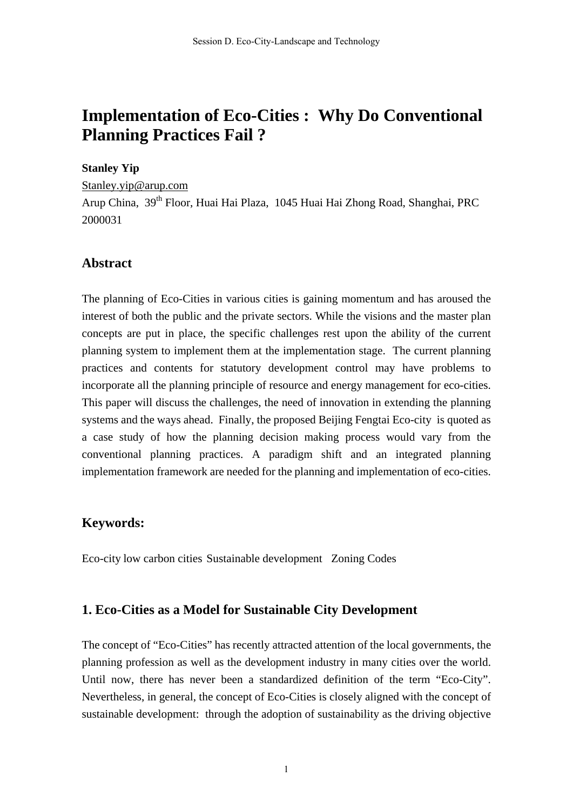# **Implementation of Eco-Cities : Why Do Conventional Planning Practices Fail ?**

#### **Stanley Yip**

Stanley.yip@arup.com

Arup China, 39th Floor, Huai Hai Plaza, 1045 Huai Hai Zhong Road, Shanghai, PRC 2000031

### **Abstract**

The planning of Eco-Cities in various cities is gaining momentum and has aroused the interest of both the public and the private sectors. While the visions and the master plan concepts are put in place, the specific challenges rest upon the ability of the current planning system to implement them at the implementation stage. The current planning practices and contents for statutory development control may have problems to incorporate all the planning principle of resource and energy management for eco-cities. This paper will discuss the challenges, the need of innovation in extending the planning systems and the ways ahead. Finally, the proposed Beijing Fengtai Eco-city is quoted as a case study of how the planning decision making process would vary from the conventional planning practices. A paradigm shift and an integrated planning implementation framework are needed for the planning and implementation of eco-cities.

### **Keywords:**

Eco-city low carbon cities Sustainable development Zoning Codes

### **1. Eco-Cities as a Model for Sustainable City Development**

The concept of "Eco-Cities" has recently attracted attention of the local governments, the planning profession as well as the development industry in many cities over the world. Until now, there has never been a standardized definition of the term "Eco-City". Nevertheless, in general, the concept of Eco-Cities is closely aligned with the concept of sustainable development: through the adoption of sustainability as the driving objective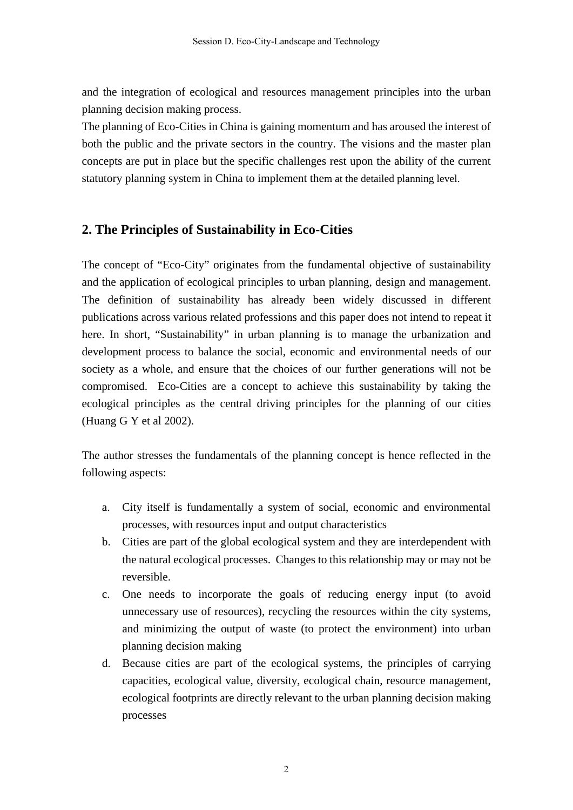and the integration of ecological and resources management principles into the urban planning decision making process.

The planning of Eco-Cities in China is gaining momentum and has aroused the interest of both the public and the private sectors in the country. The visions and the master plan concepts are put in place but the specific challenges rest upon the ability of the current statutory planning system in China to implement them at the detailed planning level.

# **2. The Principles of Sustainability in Eco-Cities**

The concept of "Eco-City" originates from the fundamental objective of sustainability and the application of ecological principles to urban planning, design and management. The definition of sustainability has already been widely discussed in different publications across various related professions and this paper does not intend to repeat it here. In short, "Sustainability" in urban planning is to manage the urbanization and development process to balance the social, economic and environmental needs of our society as a whole, and ensure that the choices of our further generations will not be compromised. Eco-Cities are a concept to achieve this sustainability by taking the ecological principles as the central driving principles for the planning of our cities (Huang G Y et al 2002).

The author stresses the fundamentals of the planning concept is hence reflected in the following aspects:

- a. City itself is fundamentally a system of social, economic and environmental processes, with resources input and output characteristics
- b. Cities are part of the global ecological system and they are interdependent with the natural ecological processes. Changes to this relationship may or may not be reversible.
- c. One needs to incorporate the goals of reducing energy input (to avoid unnecessary use of resources), recycling the resources within the city systems, and minimizing the output of waste (to protect the environment) into urban planning decision making
- d. Because cities are part of the ecological systems, the principles of carrying capacities, ecological value, diversity, ecological chain, resource management, ecological footprints are directly relevant to the urban planning decision making processes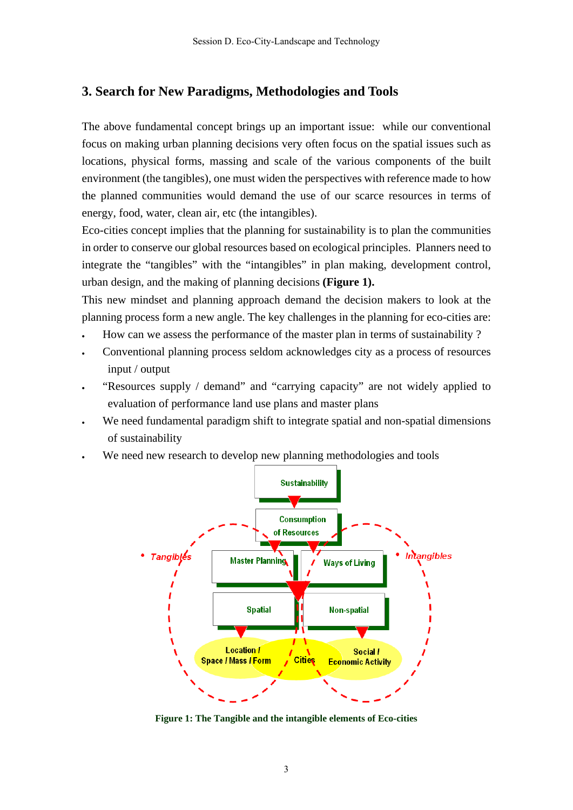### **3. Search for New Paradigms, Methodologies and Tools**

The above fundamental concept brings up an important issue: while our conventional focus on making urban planning decisions very often focus on the spatial issues such as locations, physical forms, massing and scale of the various components of the built environment (the tangibles), one must widen the perspectives with reference made to how the planned communities would demand the use of our scarce resources in terms of energy, food, water, clean air, etc (the intangibles).

Eco-cities concept implies that the planning for sustainability is to plan the communities in order to conserve our global resources based on ecological principles. Planners need to integrate the "tangibles" with the "intangibles" in plan making, development control, urban design, and the making of planning decisions **(Figure 1).** 

This new mindset and planning approach demand the decision makers to look at the planning process form a new angle. The key challenges in the planning for eco-cities are:

- How can we assess the performance of the master plan in terms of sustainability ?
- Conventional planning process seldom acknowledges city as a process of resources input / output
- "Resources supply / demand" and "carrying capacity" are not widely applied to evaluation of performance land use plans and master plans
- We need fundamental paradigm shift to integrate spatial and non-spatial dimensions of sustainability
- We need new research to develop new planning methodologies and tools



**Figure 1: The Tangible and the intangible elements of Eco-cities**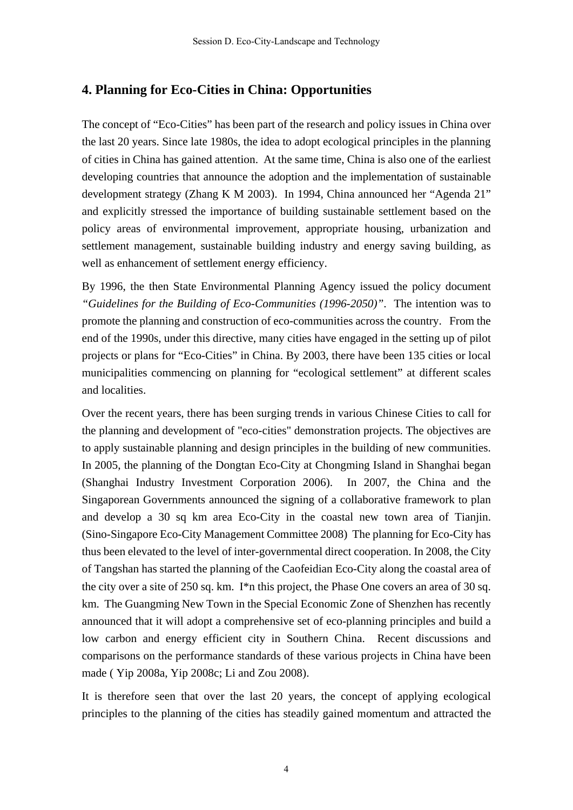### **4. Planning for Eco-Cities in China: Opportunities**

The concept of "Eco-Cities" has been part of the research and policy issues in China over the last 20 years. Since late 1980s, the idea to adopt ecological principles in the planning of cities in China has gained attention. At the same time, China is also one of the earliest developing countries that announce the adoption and the implementation of sustainable development strategy (Zhang K M 2003). In 1994, China announced her "Agenda 21" and explicitly stressed the importance of building sustainable settlement based on the policy areas of environmental improvement, appropriate housing, urbanization and settlement management, sustainable building industry and energy saving building, as well as enhancement of settlement energy efficiency.

By 1996, the then State Environmental Planning Agency issued the policy document *"Guidelines for the Building of Eco-Communities (1996-2050)"*. The intention was to promote the planning and construction of eco-communities across the country. From the end of the 1990s, under this directive, many cities have engaged in the setting up of pilot projects or plans for "Eco-Cities" in China. By 2003, there have been 135 cities or local municipalities commencing on planning for "ecological settlement" at different scales and localities.

Over the recent years, there has been surging trends in various Chinese Cities to call for the planning and development of "eco-cities" demonstration projects. The objectives are to apply sustainable planning and design principles in the building of new communities. In 2005, the planning of the Dongtan Eco-City at Chongming Island in Shanghai began (Shanghai Industry Investment Corporation 2006). In 2007, the China and the Singaporean Governments announced the signing of a collaborative framework to plan and develop a 30 sq km area Eco-City in the coastal new town area of Tianjin. (Sino-Singapore Eco-City Management Committee 2008) The planning for Eco-City has thus been elevated to the level of inter-governmental direct cooperation. In 2008, the City of Tangshan has started the planning of the Caofeidian Eco-City along the coastal area of the city over a site of 250 sq. km. I\*n this project, the Phase One covers an area of 30 sq. km. The Guangming New Town in the Special Economic Zone of Shenzhen has recently announced that it will adopt a comprehensive set of eco-planning principles and build a low carbon and energy efficient city in Southern China. Recent discussions and comparisons on the performance standards of these various projects in China have been made ( Yip 2008a, Yip 2008c; Li and Zou 2008).

It is therefore seen that over the last 20 years, the concept of applying ecological principles to the planning of the cities has steadily gained momentum and attracted the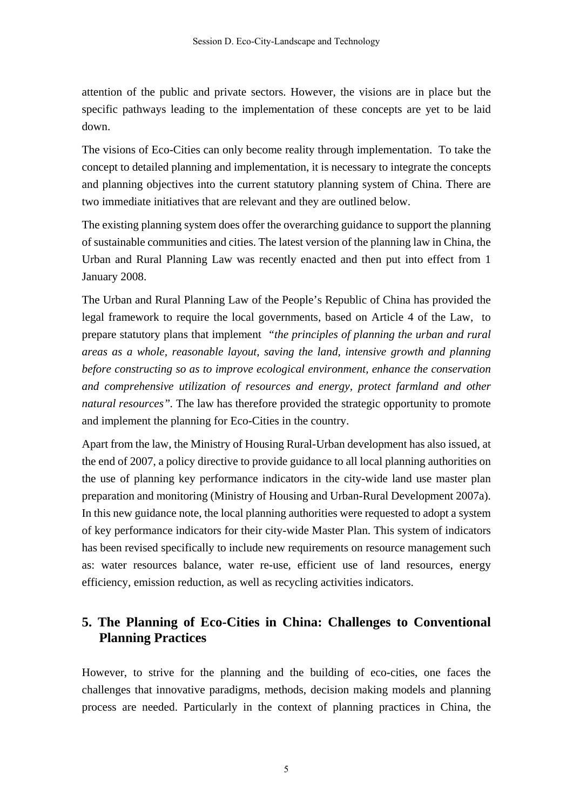attention of the public and private sectors. However, the visions are in place but the specific pathways leading to the implementation of these concepts are yet to be laid down.

The visions of Eco-Cities can only become reality through implementation. To take the concept to detailed planning and implementation, it is necessary to integrate the concepts and planning objectives into the current statutory planning system of China. There are two immediate initiatives that are relevant and they are outlined below.

The existing planning system does offer the overarching guidance to support the planning of sustainable communities and cities. The latest version of the planning law in China, the Urban and Rural Planning Law was recently enacted and then put into effect from 1 January 2008.

The Urban and Rural Planning Law of the People's Republic of China has provided the legal framework to require the local governments, based on Article 4 of the Law, to prepare statutory plans that implement *"the principles of planning the urban and rural areas as a whole, reasonable layout, saving the land, intensive growth and planning before constructing so as to improve ecological environment, enhance the conservation and comprehensive utilization of resources and energy, protect farmland and other natural resources".* The law has therefore provided the strategic opportunity to promote and implement the planning for Eco-Cities in the country.

Apart from the law, the Ministry of Housing Rural-Urban development has also issued, at the end of 2007, a policy directive to provide guidance to all local planning authorities on the use of planning key performance indicators in the city-wide land use master plan preparation and monitoring (Ministry of Housing and Urban-Rural Development 2007a). In this new guidance note, the local planning authorities were requested to adopt a system of key performance indicators for their city-wide Master Plan. This system of indicators has been revised specifically to include new requirements on resource management such as: water resources balance, water re-use, efficient use of land resources, energy efficiency, emission reduction, as well as recycling activities indicators.

## **5. The Planning of Eco-Cities in China: Challenges to Conventional Planning Practices**

However, to strive for the planning and the building of eco-cities, one faces the challenges that innovative paradigms, methods, decision making models and planning process are needed. Particularly in the context of planning practices in China, the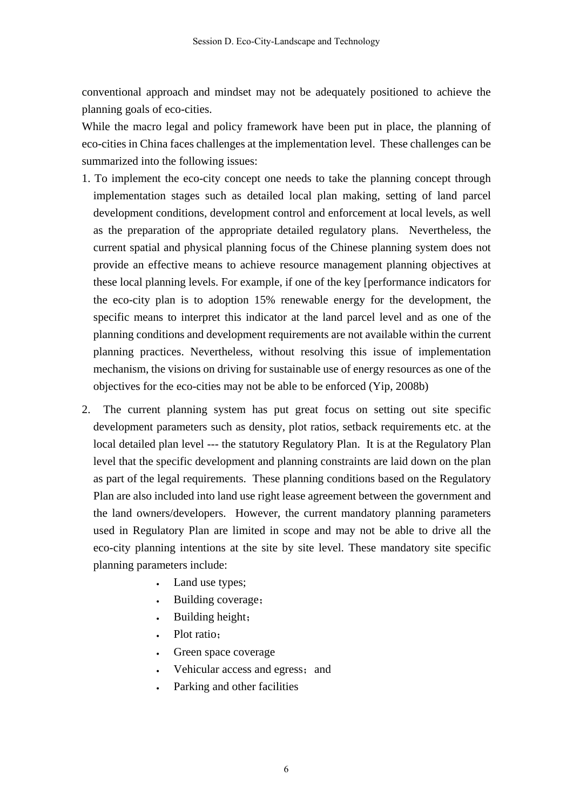conventional approach and mindset may not be adequately positioned to achieve the planning goals of eco-cities.

While the macro legal and policy framework have been put in place, the planning of eco-cities in China faces challenges at the implementation level. These challenges can be summarized into the following issues:

- 1. To implement the eco-city concept one needs to take the planning concept through implementation stages such as detailed local plan making, setting of land parcel development conditions, development control and enforcement at local levels, as well as the preparation of the appropriate detailed regulatory plans. Nevertheless, the current spatial and physical planning focus of the Chinese planning system does not provide an effective means to achieve resource management planning objectives at these local planning levels. For example, if one of the key [performance indicators for the eco-city plan is to adoption 15% renewable energy for the development, the specific means to interpret this indicator at the land parcel level and as one of the planning conditions and development requirements are not available within the current planning practices. Nevertheless, without resolving this issue of implementation mechanism, the visions on driving for sustainable use of energy resources as one of the objectives for the eco-cities may not be able to be enforced (Yip, 2008b)
- 2. The current planning system has put great focus on setting out site specific development parameters such as density, plot ratios, setback requirements etc. at the local detailed plan level --- the statutory Regulatory Plan. It is at the Regulatory Plan level that the specific development and planning constraints are laid down on the plan as part of the legal requirements. These planning conditions based on the Regulatory Plan are also included into land use right lease agreement between the government and the land owners/developers. However, the current mandatory planning parameters used in Regulatory Plan are limited in scope and may not be able to drive all the eco-city planning intentions at the site by site level. These mandatory site specific planning parameters include:
	- Land use types;
	- Building coverage;
	- Building height;
	- Plot ratio:
	- Green space coverage
	- Vehicular access and egress; and
	- Parking and other facilities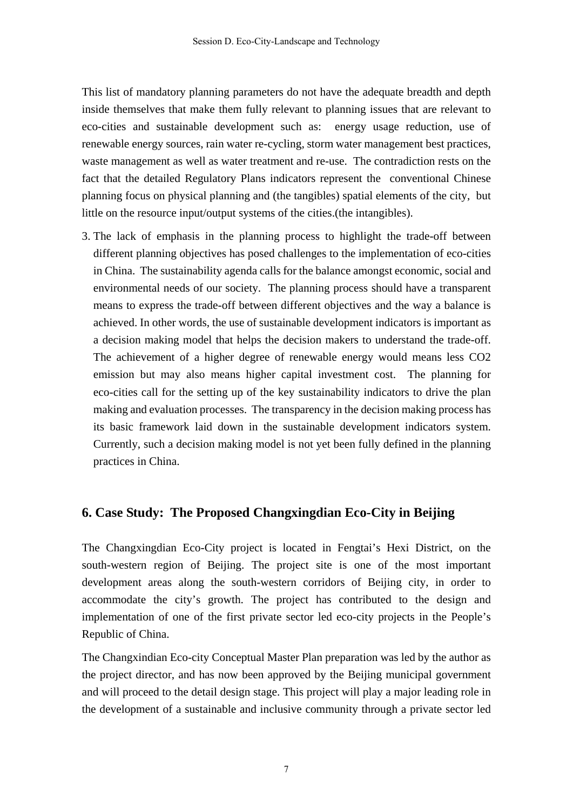This list of mandatory planning parameters do not have the adequate breadth and depth inside themselves that make them fully relevant to planning issues that are relevant to eco-cities and sustainable development such as: energy usage reduction, use of renewable energy sources, rain water re-cycling, storm water management best practices, waste management as well as water treatment and re-use. The contradiction rests on the fact that the detailed Regulatory Plans indicators represent the conventional Chinese planning focus on physical planning and (the tangibles) spatial elements of the city, but little on the resource input/output systems of the cities.(the intangibles).

3. The lack of emphasis in the planning process to highlight the trade-off between different planning objectives has posed challenges to the implementation of eco-cities in China. The sustainability agenda calls for the balance amongst economic, social and environmental needs of our society. The planning process should have a transparent means to express the trade-off between different objectives and the way a balance is achieved. In other words, the use of sustainable development indicators is important as a decision making model that helps the decision makers to understand the trade-off. The achievement of a higher degree of renewable energy would means less CO2 emission but may also means higher capital investment cost. The planning for eco-cities call for the setting up of the key sustainability indicators to drive the plan making and evaluation processes. The transparency in the decision making process has its basic framework laid down in the sustainable development indicators system. Currently, such a decision making model is not yet been fully defined in the planning practices in China.

### **6. Case Study: The Proposed Changxingdian Eco-City in Beijing**

The Changxingdian Eco-City project is located in Fengtai's Hexi District, on the south-western region of Beijing. The project site is one of the most important development areas along the south-western corridors of Beijing city, in order to accommodate the city's growth. The project has contributed to the design and implementation of one of the first private sector led eco-city projects in the People's Republic of China.

The Changxindian Eco-city Conceptual Master Plan preparation was led by the author as the project director, and has now been approved by the Beijing municipal government and will proceed to the detail design stage. This project will play a major leading role in the development of a sustainable and inclusive community through a private sector led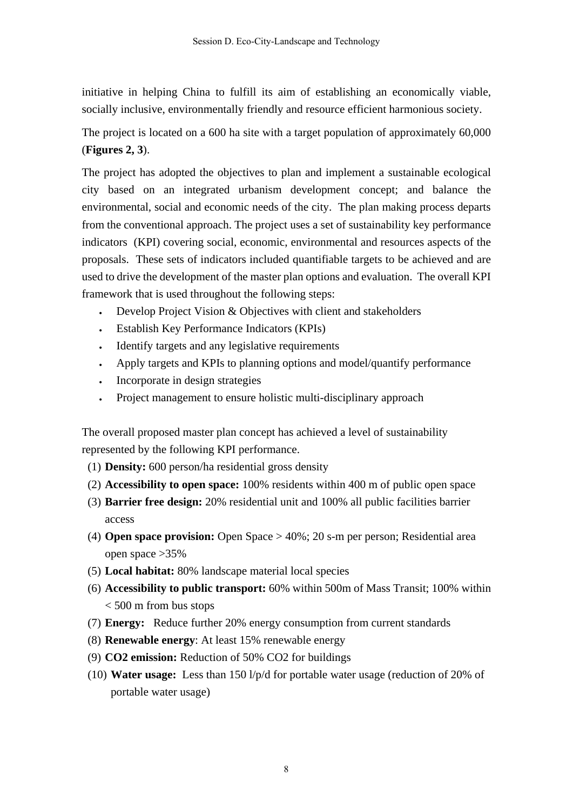initiative in helping China to fulfill its aim of establishing an economically viable, socially inclusive, environmentally friendly and resource efficient harmonious society.

The project is located on a 600 ha site with a target population of approximately 60,000 (**Figures 2, 3**).

The project has adopted the objectives to plan and implement a sustainable ecological city based on an integrated urbanism development concept; and balance the environmental, social and economic needs of the city. The plan making process departs from the conventional approach. The project uses a set of sustainability key performance indicators (KPI) covering social, economic, environmental and resources aspects of the proposals. These sets of indicators included quantifiable targets to be achieved and are used to drive the development of the master plan options and evaluation. The overall KPI framework that is used throughout the following steps:

- Develop Project Vision & Objectives with client and stakeholders
- Establish Key Performance Indicators (KPIs)
- Identify targets and any legislative requirements
- Apply targets and KPIs to planning options and model/quantify performance
- Incorporate in design strategies
- Project management to ensure holistic multi-disciplinary approach

The overall proposed master plan concept has achieved a level of sustainability represented by the following KPI performance.

- (1) **Density:** 600 person/ha residential gross density
- (2) **Accessibility to open space:** 100% residents within 400 m of public open space
- (3) **Barrier free design:** 20% residential unit and 100% all public facilities barrier access
- (4) **Open space provision:** Open Space > 40%; 20 s-m per person; Residential area open space >35%
- (5) **Local habitat:** 80% landscape material local species
- (6) **Accessibility to public transport:** 60% within 500m of Mass Transit; 100% within < 500 m from bus stops
- (7) **Energy:** Reduce further 20% energy consumption from current standards
- (8) **Renewable energy**: At least 15% renewable energy
- (9) **CO2 emission:** Reduction of 50% CO2 for buildings
- (10) **Water usage:** Less than 150 l/p/d for portable water usage (reduction of 20% of portable water usage)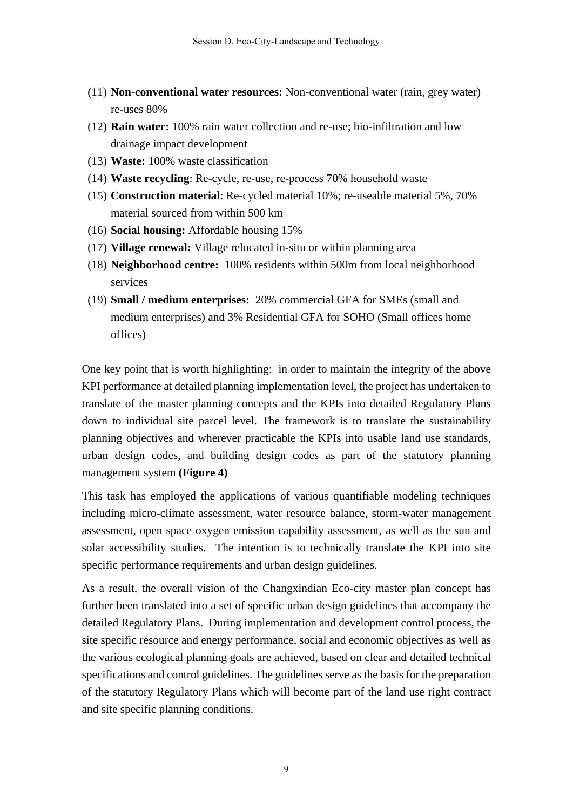- (11) **Non-conventional water resources:** Non-conventional water (rain, grey water) re-uses 80%
- (12) **Rain water:** 100% rain water collection and re-use; bio-infiltration and low drainage impact development
- (13) **Waste:** 100% waste classification
- (14) **Waste recycling**: Re-cycle, re-use, re-process 70% household waste
- (15) **Construction material**: Re-cycled material 10%; re-useable material 5%, 70% material sourced from within 500 km
- (16) **Social housing:** Affordable housing 15%
- (17) **Village renewal:** Village relocated in-situ or within planning area
- (18) **Neighborhood centre:** 100% residents within 500m from local neighborhood services
- (19) **Small / medium enterprises:** 20% commercial GFA for SMEs (small and medium enterprises) and 3% Residential GFA for SOHO (Small offices home offices)

One key point that is worth highlighting: in order to maintain the integrity of the above KPI performance at detailed planning implementation level, the project has undertaken to translate of the master planning concepts and the KPIs into detailed Regulatory Plans down to individual site parcel level. The framework is to translate the sustainability planning objectives and wherever practicable the KPIs into usable land use standards, urban design codes, and building design codes as part of the statutory planning management system **(Figure 4)** 

This task has employed the applications of various quantifiable modeling techniques including micro-climate assessment, water resource balance, storm-water management assessment, open space oxygen emission capability assessment, as well as the sun and solar accessibility studies. The intention is to technically translate the KPI into site specific performance requirements and urban design guidelines.

As a result, the overall vision of the Changxindian Eco-city master plan concept has further been translated into a set of specific urban design guidelines that accompany the detailed Regulatory Plans. During implementation and development control process, the site specific resource and energy performance, social and economic objectives as well as the various ecological planning goals are achieved, based on clear and detailed technical specifications and control guidelines. The guidelines serve as the basis for the preparation of the statutory Regulatory Plans which will become part of the land use right contract and site specific planning conditions.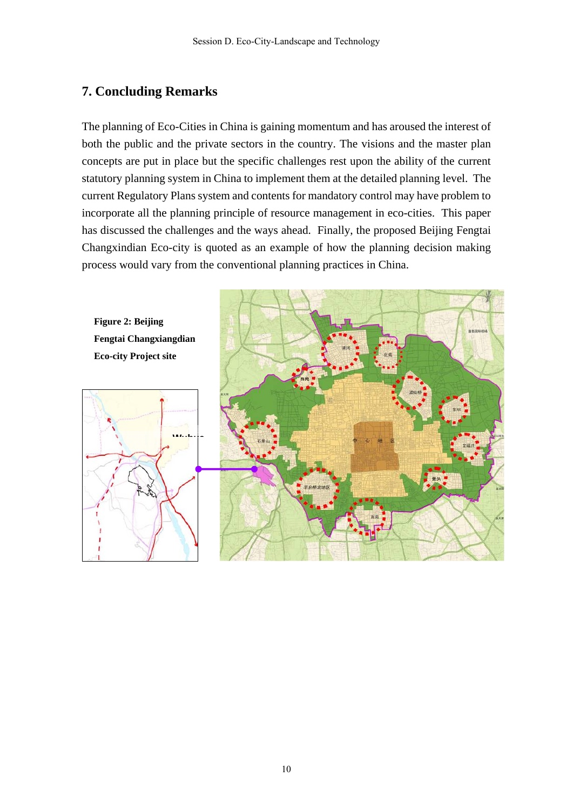# **7. Concluding Remarks**

The planning of Eco-Cities in China is gaining momentum and has aroused the interest of both the public and the private sectors in the country. The visions and the master plan concepts are put in place but the specific challenges rest upon the ability of the current statutory planning system in China to implement them at the detailed planning level. The current Regulatory Plans system and contents for mandatory control may have problem to incorporate all the planning principle of resource management in eco-cities. This paper has discussed the challenges and the ways ahead. Finally, the proposed Beijing Fengtai Changxindian Eco-city is quoted as an example of how the planning decision making process would vary from the conventional planning practices in China.





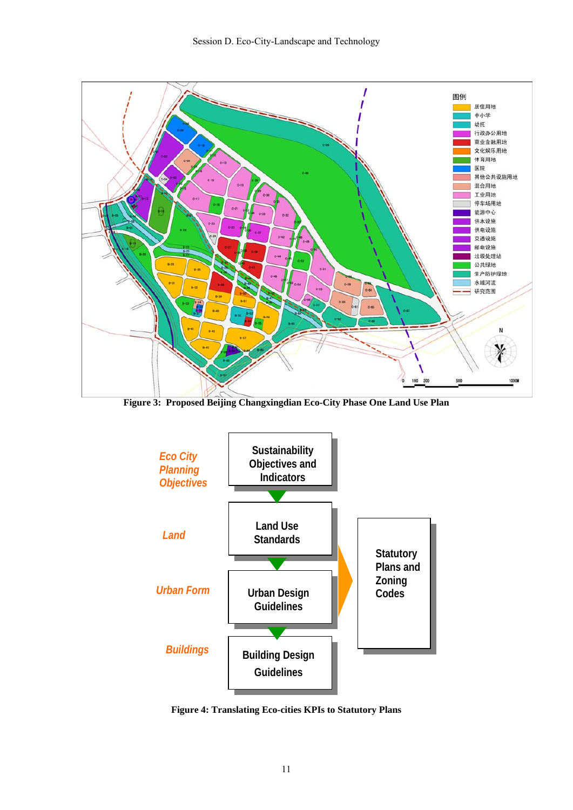

**Figure 3: Proposed Beijing Changxingdian Eco-City Phase One Land Use Plan**



**Figure 4: Translating Eco-cities KPIs to Statutory Plans**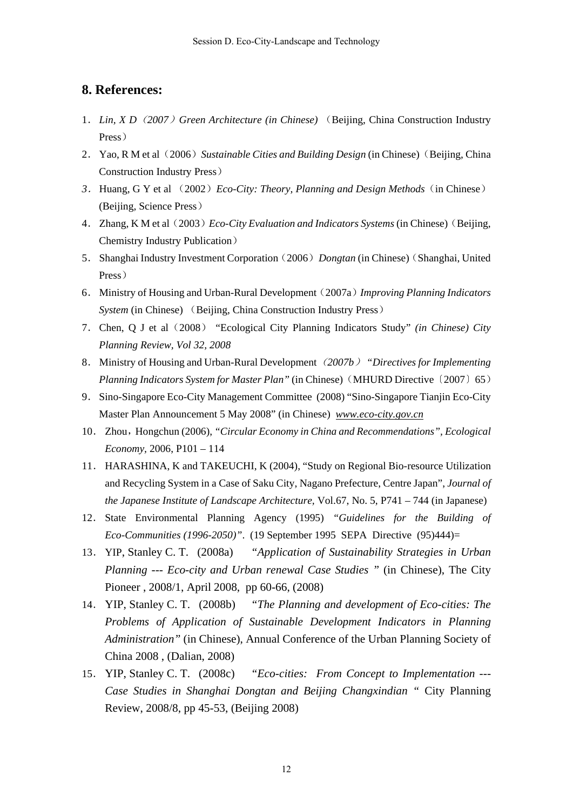### **8. References:**

- 1.*Lin, X D*(*2007*)*Green Architecture (in Chinese)* (Beijing, China Construction Industry Press)
- 2.Yao, R M et al(2006)*Sustainable Cities and Building Design* (in Chinese)(Beijing, China Construction Industry Press)
- *3*.Huang, G Y et al (2002)*Eco-City: Theory, Planning and Design Methods*(in Chinese) (Beijing, Science Press)
- 4.Zhang, K M et al (2003)*Eco-City Evaluation and Indicators Systems* (in Chinese) (Beijing, Chemistry Industry Publication)
- 5.Shanghai Industry Investment Corporation(2006)*Dongtan* (in Chinese)(Shanghai, United Press)
- 6.Ministry of Housing and Urban-Rural Development (2007a)*Improving Planning Indicators System* (in Chinese) (Beijing, China Construction Industry Press)
- 7.Chen, Q J et al(2008) "Ecological City Planning Indicators Study" *(in Chinese) City Planning Review, Vol 32, 2008*
- 8.Ministry of Housing and Urban-Rural Development(*2007b*) *"Directives for Implementing Planning Indicators System for Master Plan"* (in Chinese) (MHURD Directive (2007) 65)
- 9.Sino-Singapore Eco-City Management Committee (2008) "Sino-Singapore Tianjin Eco-City Master Plan Announcement 5 May 2008" (in Chinese) *www.eco-city.gov.cn*
- 10. Zhou, Hongchun (2006), *"Circular Economy in China and Recommendations", Ecological Economy,* 2006, P101 – 114
- 11. HARASHINA, K and TAKEUCHI, K (2004), "Study on Regional Bio-resource Utilization and Recycling System in a Case of Saku City, Nagano Prefecture, Centre Japan", *Journal of the Japanese Institute of Landscape Architecture,* Vol.67, No. 5, P741 – 744 (in Japanese)
- 12. State Environmental Planning Agency (1995) *"Guidelines for the Building of Eco-Communities (1996-2050)"*. (19 September 1995 SEPA Directive (95)444)=
- 13. YIP, Stanley C. T. (2008a) *"Application of Sustainability Strategies in Urban Planning --- Eco-city and Urban renewal Case Studies "* (in Chinese), The City Pioneer , 2008/1, April 2008, pp 60-66, (2008)
- 14. YIP, Stanley C. T. (2008b) *"The Planning and development of Eco-cities: The Problems of Application of Sustainable Development Indicators in Planning Administration"* (in Chinese), Annual Conference of the Urban Planning Society of China 2008 , (Dalian, 2008)
- 15. YIP, Stanley C. T. (2008c) *"Eco-cities: From Concept to Implementation --- Case Studies in Shanghai Dongtan and Beijing Changxindian "* City Planning Review, 2008/8, pp 45-53, (Beijing 2008)